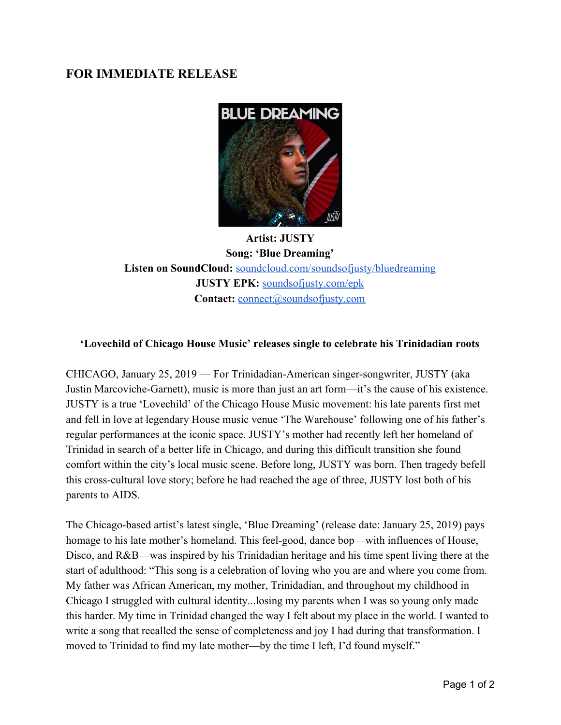## **FOR IMMEDIATE RELEASE**



**Artist: JUSTY Song: 'Blue Dreaming' Listen on SoundCloud:** [soundcloud.com/soundsofjusty/bluedreaming](https://soundcloud.com/soundsofjusty/bluedreaming) **JUSTY EPK:** [soundsofjusty.com/epk](https://www.soundsofjusty.com/epk) **Contact:** [connect@soundsofjusty.com](mailto:connect@soundsofjusty.com)

## **'Lovechild of Chicago House Music' releases single to celebrate his Trinidadian roots**

CHICAGO, January 25, 2019 — For Trinidadian-American singer-songwriter, JUSTY (aka Justin Marcoviche-Garnett), music is more than just an art form—it's the cause of his existence. JUSTY is a true 'Lovechild' of the Chicago House Music movement: his late parents first met and fell in love at legendary House music venue 'The Warehouse' following one of his father's regular performances at the iconic space. JUSTY's mother had recently left her homeland of Trinidad in search of a better life in Chicago, and during this difficult transition she found comfort within the city's local music scene. Before long, JUSTY was born. Then tragedy befell this cross-cultural love story; before he had reached the age of three, JUSTY lost both of his parents to AIDS.

The Chicago-based artist's latest single, 'Blue Dreaming' (release date: January 25, 2019) pays homage to his late mother's homeland. This feel-good, dance bop—with influences of House, Disco, and R&B—was inspired by his Trinidadian heritage and his time spent living there at the start of adulthood: "This song is a celebration of loving who you are and where you come from. My father was African American, my mother, Trinidadian, and throughout my childhood in Chicago I struggled with cultural identity...losing my parents when I was so young only made this harder. My time in Trinidad changed the way I felt about my place in the world. I wanted to write a song that recalled the sense of completeness and joy I had during that transformation. I moved to Trinidad to find my late mother—by the time I left, I'd found myself."